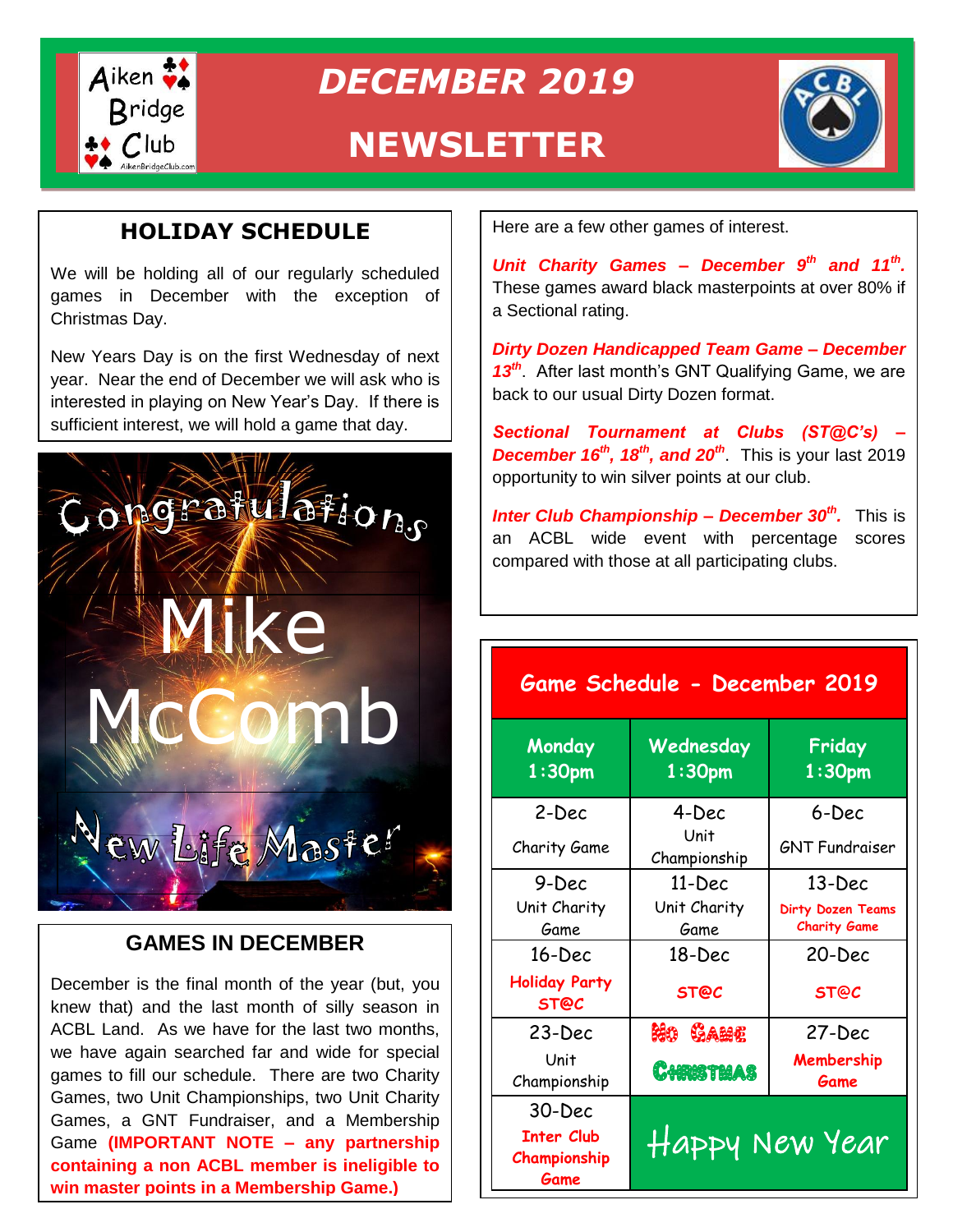

*DECEMBER 2019*

# **NEWSLETTER**



# **HOLIDAY SCHEDULE**

We will be holding all of our regularly scheduled games in December with the exception of Christmas Day.

New Years Day is on the first Wednesday of next year. Near the end of December we will ask who is interested in playing on New Year's Day. If there is sufficient interest, we will hold a game that day.



## **GAMES IN DECEMBER**

December is the final month of the year (but, you knew that) and the last month of silly season in ACBL Land. As we have for the last two months, we have again searched far and wide for special games to fill our schedule. There are two Charity Games, two Unit Championships, two Unit Charity Games, a GNT Fundraiser, and a Membership Game **(IMPORTANT NOTE – any partnership containing a non ACBL member is ineligible to win master points in a Membership Game.)**

Here are a few other games of interest.

*Unit Charity Games – December 9th and 11th .*  These games award black masterpoints at over 80% if a Sectional rating.

*Dirty Dozen Handicapped Team Game – December 13th*. After last month's GNT Qualifying Game, we are back to our usual Dirty Dozen format.

*Sectional Tournament at Clubs (ST@C's) – December 16th, 18th, and 20th*. This is your last 2019 opportunity to win silver points at our club.

*Inter Club Championship – December 30th .* This is an ACBL wide event with percentage scores compared with those at all participating clubs.

**Game Schedule - December 2019**

| Monday<br>$1:30$ pm                       | Wednesday<br>$1:30$ pm | Friday<br>1:30 <sub>pm</sub>             |
|-------------------------------------------|------------------------|------------------------------------------|
| 2-Dec                                     | 4-Dec                  | 6-Dec                                    |
| Charity Game                              | Unit<br>Championship   | <b>GNT Fundraiser</b>                    |
| 9-Dec                                     | 11-Dec                 | $13$ -Dec                                |
| Unit Charity<br>Game                      | Unit Charity<br>Game   | Dirty Dozen Teams<br><b>Charity Game</b> |
| $16$ -Dec                                 | $18 - Dec$             | 20-Dec                                   |
| <b>Holiday Party</b><br><b>ST@C</b>       | <b>ST@C</b>            | <b>ST@C</b>                              |
| 23-Dec                                    | Mo Came                | 27-Dec                                   |
| Unit<br>Championship                      | CHRISTMAS              | Membership<br>Game                       |
| 30-Dec                                    |                        |                                          |
| <b>Inter Club</b><br>Championship<br>Game | Happy New Year         |                                          |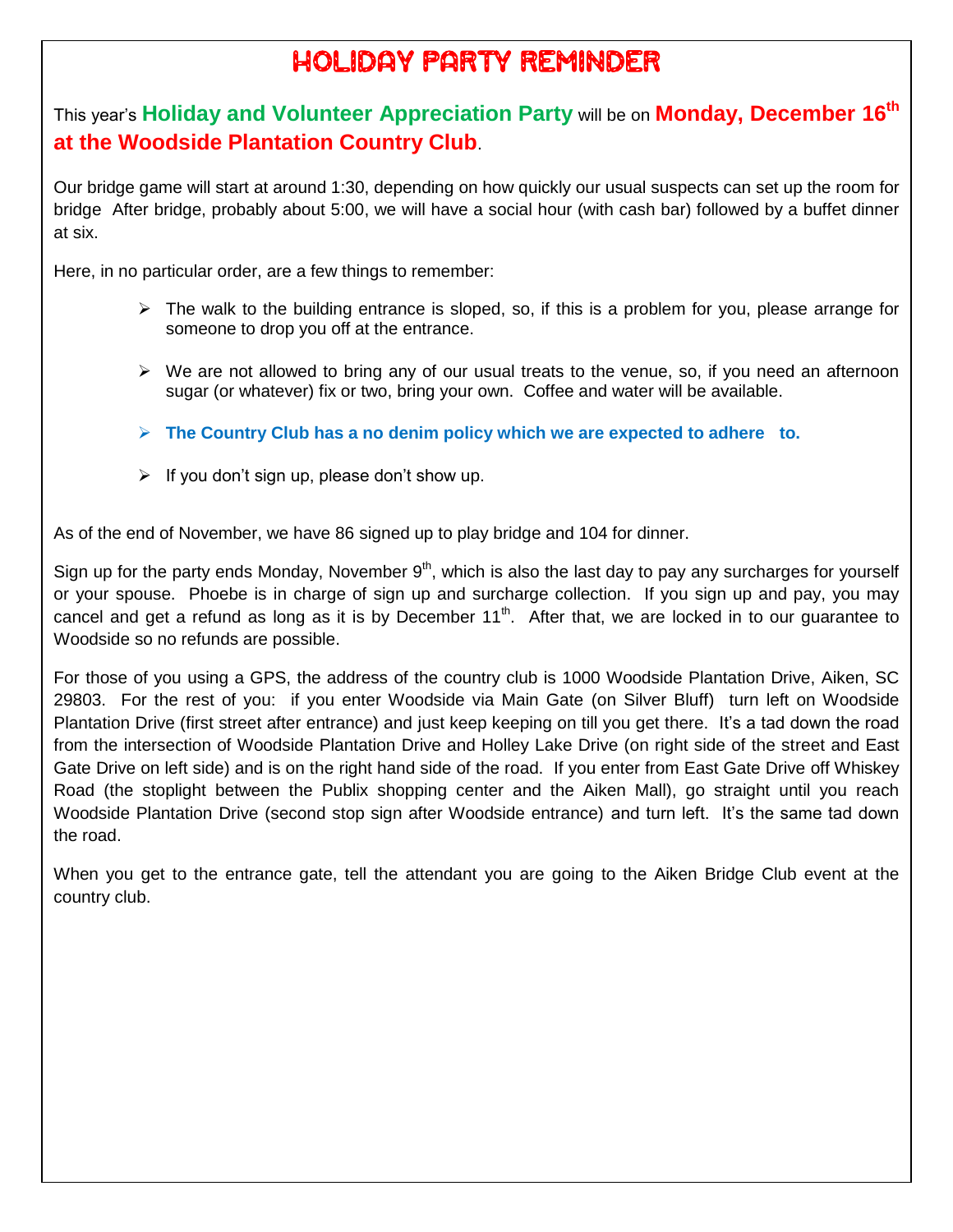# HOLIDAY PARTY REMINDER

# This year's **Holiday and Volunteer Appreciation Party** will be on **Monday, December 16th at the Woodside Plantation Country Club**.

Our bridge game will start at around 1:30, depending on how quickly our usual suspects can set up the room for bridge After bridge, probably about 5:00, we will have a social hour (with cash bar) followed by a buffet dinner at six.

Here, in no particular order, are a few things to remember:

- $\triangleright$  The walk to the building entrance is sloped, so, if this is a problem for you, please arrange for someone to drop you off at the entrance.
- $\triangleright$  We are not allowed to bring any of our usual treats to the venue, so, if you need an afternoon sugar (or whatever) fix or two, bring your own. Coffee and water will be available.
- **The Country Club has a no denim policy which we are expected to adhere to.**
- $\triangleright$  If you don't sign up, please don't show up.

As of the end of November, we have 86 signed up to play bridge and 104 for dinner.

Sign up for the party ends Monday, November 9<sup>th</sup>, which is also the last day to pay any surcharges for yourself or your spouse. Phoebe is in charge of sign up and surcharge collection. If you sign up and pay, you may cancel and get a refund as long as it is by December 11<sup>th</sup>. After that, we are locked in to our guarantee to Woodside so no refunds are possible.

For those of you using a GPS, the address of the country club is 1000 Woodside Plantation Drive, Aiken, SC 29803. For the rest of you: if you enter Woodside via Main Gate (on Silver Bluff) turn left on Woodside Plantation Drive (first street after entrance) and just keep keeping on till you get there. It's a tad down the road from the intersection of Woodside Plantation Drive and Holley Lake Drive (on right side of the street and East Gate Drive on left side) and is on the right hand side of the road. If you enter from East Gate Drive off Whiskey Road (the stoplight between the Publix shopping center and the Aiken Mall), go straight until you reach Woodside Plantation Drive (second stop sign after Woodside entrance) and turn left. It's the same tad down the road.

When you get to the entrance gate, tell the attendant you are going to the Aiken Bridge Club event at the country club.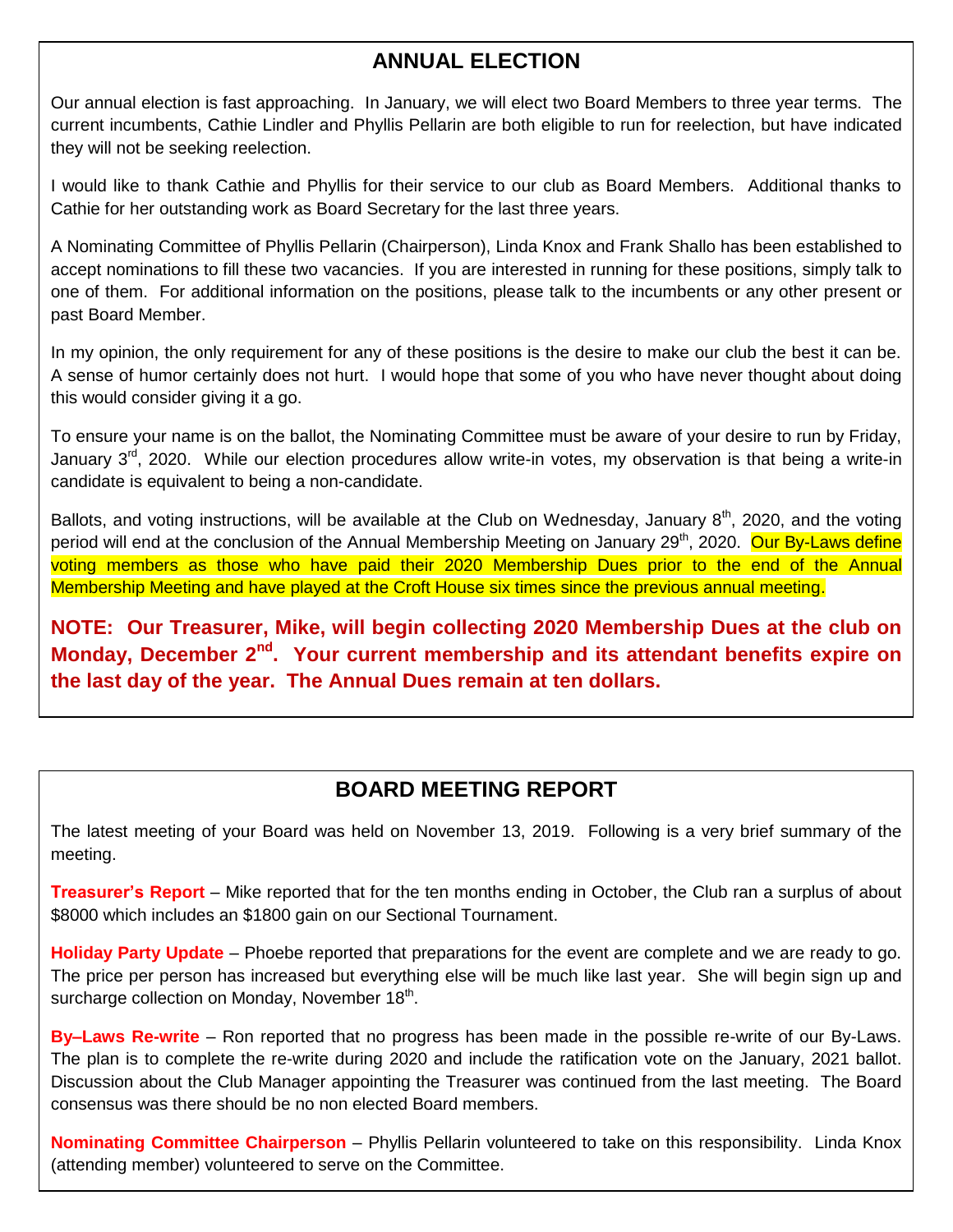#### **ANNUAL ELECTION**

Our annual election is fast approaching. In January, we will elect two Board Members to three year terms. The current incumbents, Cathie Lindler and Phyllis Pellarin are both eligible to run for reelection, but have indicated they will not be seeking reelection.

I would like to thank Cathie and Phyllis for their service to our club as Board Members. Additional thanks to Cathie for her outstanding work as Board Secretary for the last three years.

A Nominating Committee of Phyllis Pellarin (Chairperson), Linda Knox and Frank Shallo has been established to accept nominations to fill these two vacancies. If you are interested in running for these positions, simply talk to one of them. For additional information on the positions, please talk to the incumbents or any other present or past Board Member.

In my opinion, the only requirement for any of these positions is the desire to make our club the best it can be. A sense of humor certainly does not hurt. I would hope that some of you who have never thought about doing this would consider giving it a go.

To ensure your name is on the ballot, the Nominating Committee must be aware of your desire to run by Friday, January  $3<sup>rd</sup>$ , 2020. While our election procedures allow write-in votes, my observation is that being a write-in candidate is equivalent to being a non-candidate.

Ballots, and voting instructions, will be available at the Club on Wednesday, January  $8<sup>th</sup>$ , 2020, and the voting period will end at the conclusion of the Annual Membership Meeting on January 29<sup>th</sup>, 2020. Our By-Laws define voting members as those who have paid their 2020 Membership Dues prior to the end of the Annual Membership Meeting and have played at the Croft House six times since the previous annual meeting.

**NOTE: Our Treasurer, Mike, will begin collecting 2020 Membership Dues at the club on Monday, December 2nd. Your current membership and its attendant benefits expire on the last day of the year. The Annual Dues remain at ten dollars.**

## **BOARD MEETING REPORT**

The latest meeting of your Board was held on November 13, 2019. Following is a very brief summary of the meeting.

**Treasurer's Report** – Mike reported that for the ten months ending in October, the Club ran a surplus of about \$8000 which includes an \$1800 gain on our Sectional Tournament.

**Holiday Party Update** – Phoebe reported that preparations for the event are complete and we are ready to go. The price per person has increased but everything else will be much like last year. She will begin sign up and surcharge collection on Monday, November 18<sup>th</sup>.

**By–Laws Re-write** – Ron reported that no progress has been made in the possible re-write of our By-Laws. The plan is to complete the re-write during 2020 and include the ratification vote on the January, 2021 ballot. Discussion about the Club Manager appointing the Treasurer was continued from the last meeting. The Board consensus was there should be no non elected Board members.

**Nominating Committee Chairperson** – Phyllis Pellarin volunteered to take on this responsibility. Linda Knox (attending member) volunteered to serve on the Committee.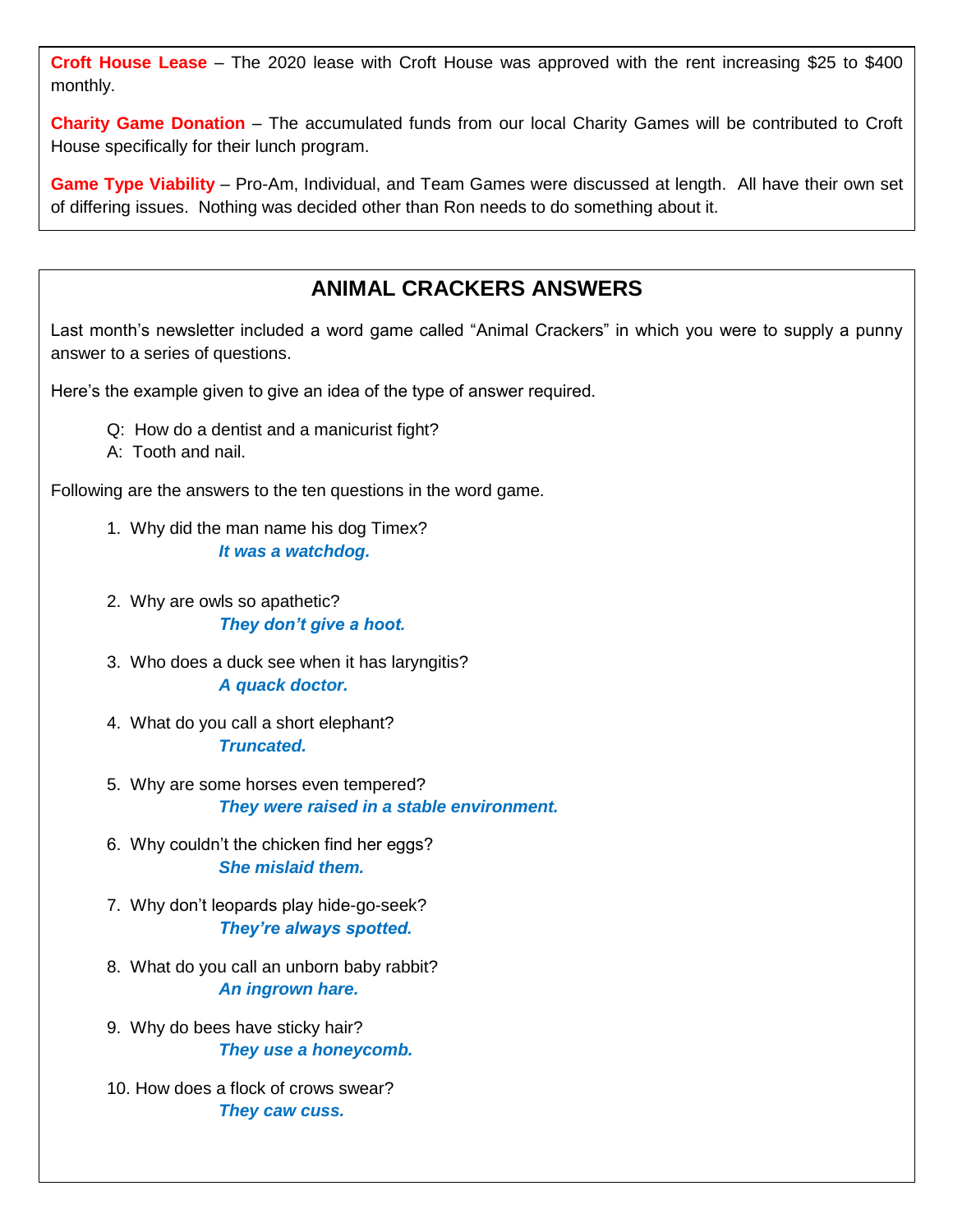**Croft House Lease** – The 2020 lease with Croft House was approved with the rent increasing \$25 to \$400 monthly.

**Charity Game Donation** – The accumulated funds from our local Charity Games will be contributed to Croft House specifically for their lunch program.

**Game Type Viability** – Pro-Am, Individual, and Team Games were discussed at length. All have their own set of differing issues. Nothing was decided other than Ron needs to do something about it.

# **ANIMAL CRACKERS ANSWERS**

Last month's newsletter included a word game called "Animal Crackers" in which you were to supply a punny answer to a series of questions.

Here's the example given to give an idea of the type of answer required.

- Q: How do a dentist and a manicurist fight?
- A: Tooth and nail.

Following are the answers to the ten questions in the word game.

- 1. Why did the man name his dog Timex? *It was a watchdog.*
- 2. Why are owls so apathetic? *They don't give a hoot.*
- 3. Who does a duck see when it has laryngitis? *A quack doctor.*
- **Falling Down Bridge** 4. What do you call a short elephant? *Truncated.*
	- 5. Why are some horses even tempered? *They were raised in a stable environment.*
	- 6. Why couldn't the chicken find her eggs? *She mislaid them.*
	- 7. Why don't leopards play hide-go-seek? *They're always spotted.*
	- 8. What do you call an unborn baby rabbit? *An ingrown hare.*
	- 9. Why do bees have sticky hair? *They use a honeycomb.*
	- 10. How does a flock of crows swear? *They caw cuss.*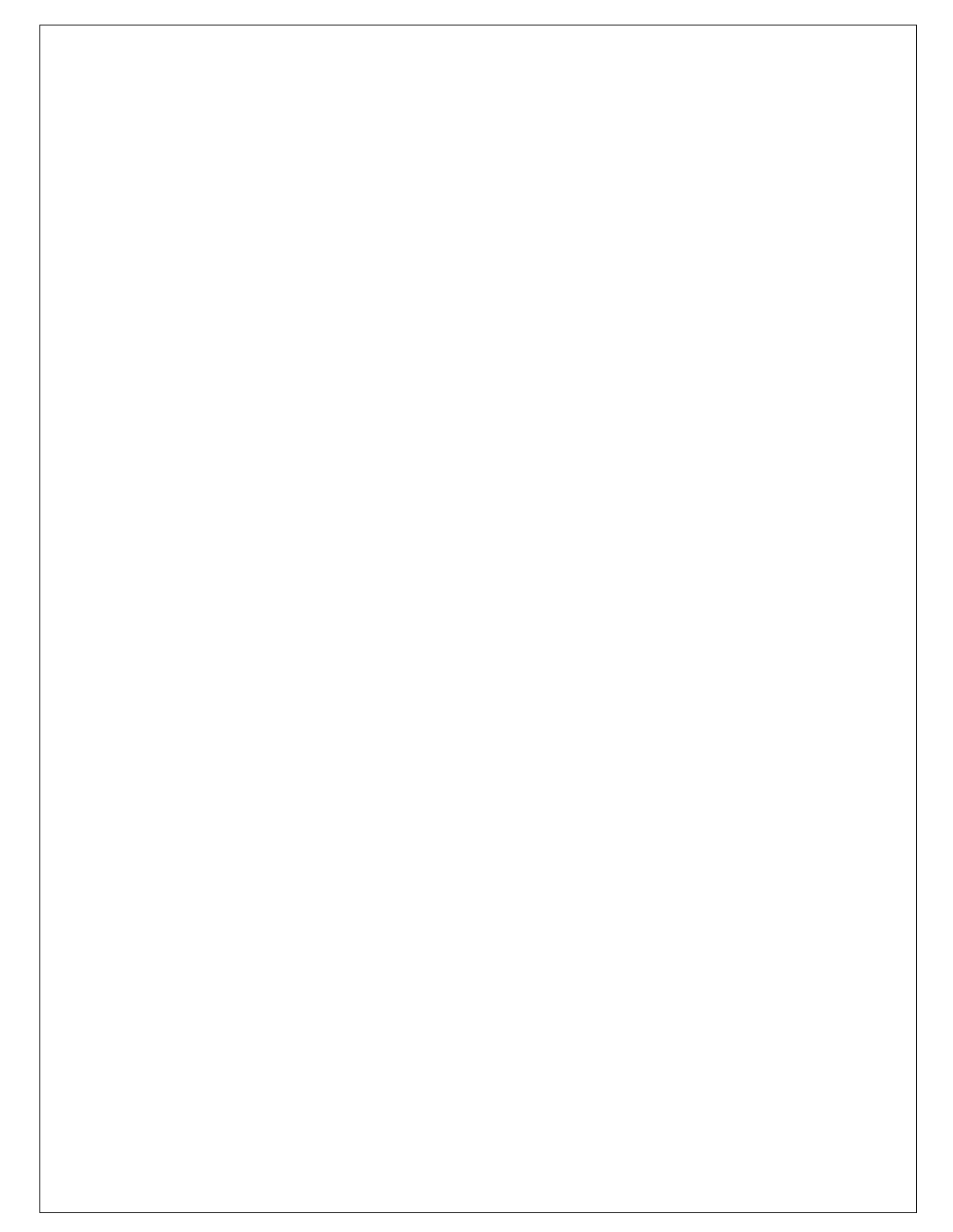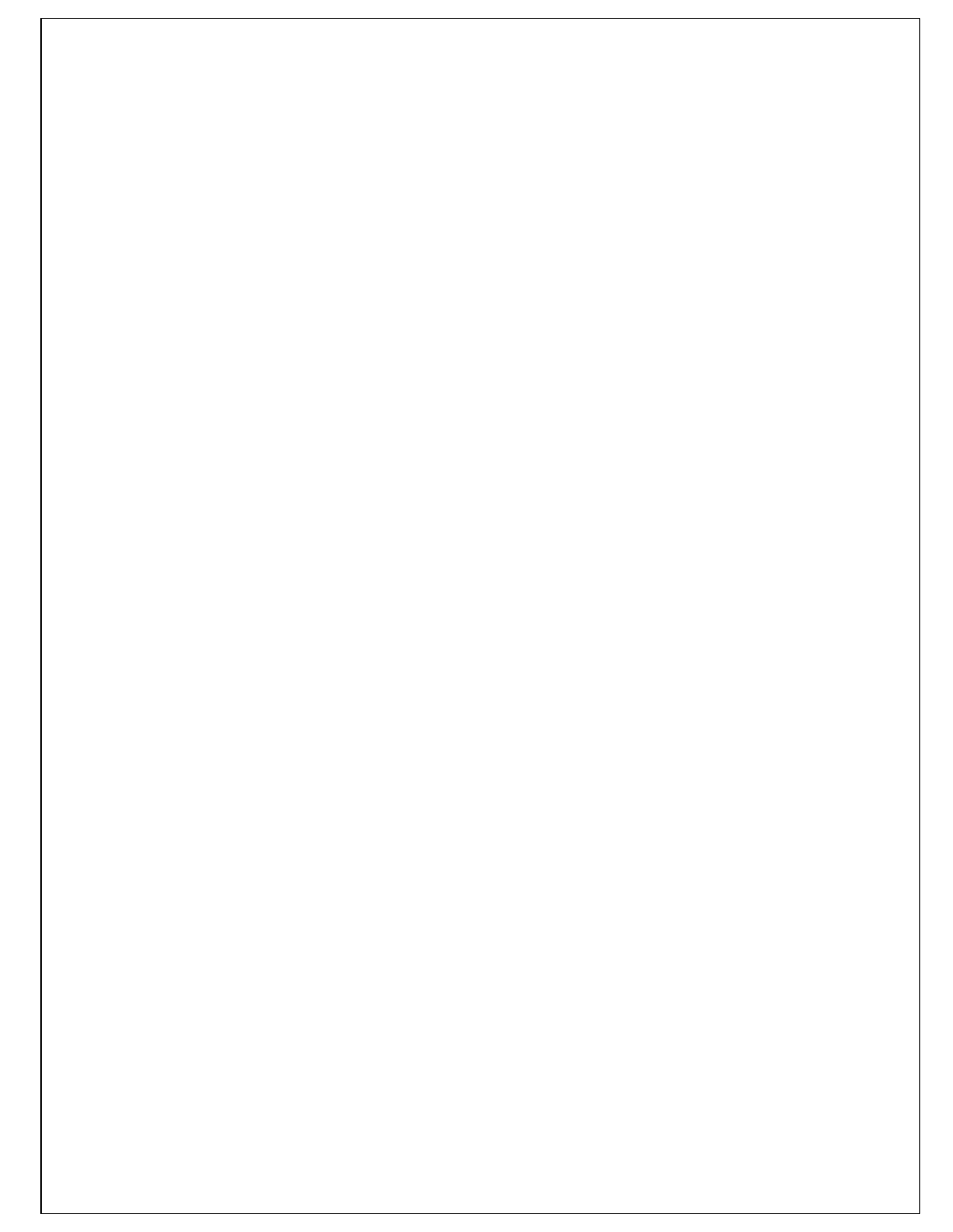